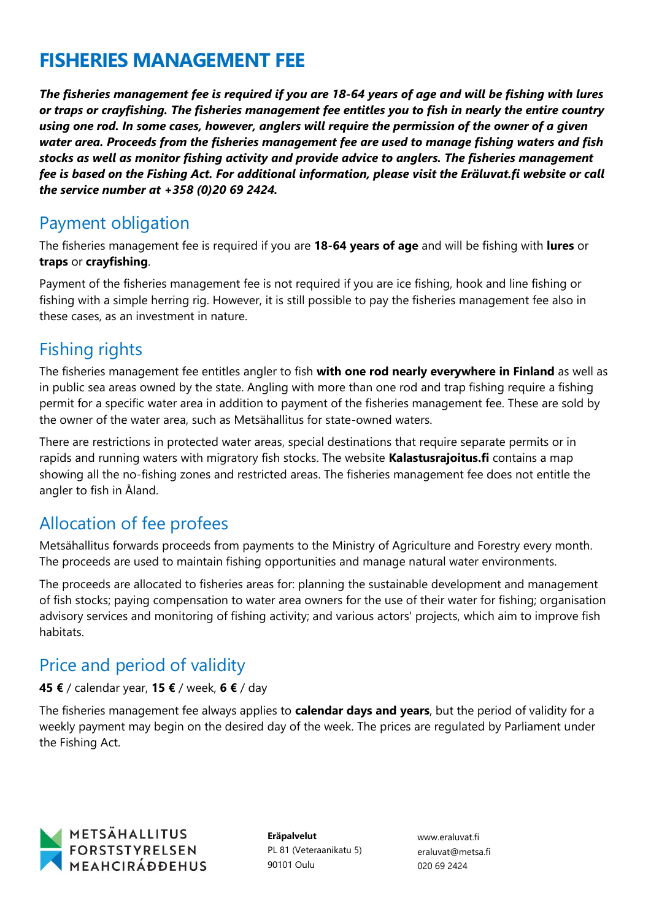# **FISHERIES MANAGEMENT FEE**

*The fisheries management fee is required if you are 18-64 years of age and will be fishing with lures or traps or crayfishing. The fisheries management fee entitles you to fish in nearly the entire country using one rod. In some cases, however, anglers will require the permission of the owner of a given water area. Proceeds from the fisheries management fee are used to manage fishing waters and fish stocks as well as monitor fishing activity and provide advice to anglers. The fisheries management fee is based on the Fishing Act. For additional information, please visit the Eräluvat.fi website or call the service number at +358 (0)20 69 2424.*

#### Payment obligation

The fisheries management fee is required if you are **18-64 years of age** and will be fishing with **lures** or **traps** or **crayfishing**.

Payment of the fisheries management fee is not required if you are ice fishing, hook and line fishing or fishing with a simple herring rig. However, it is still possible to pay the fisheries management fee also in these cases, as an investment in nature.

#### Fishing rights

The fisheries management fee entitles angler to fish **with one rod nearly everywhere in Finland** as well as in public sea areas owned by the state. Angling with more than one rod and trap fishing require a fishing permit for a specific water area in addition to payment of the fisheries management fee. These are sold by the owner of the water area, such as Metsähallitus for state-owned waters.

There are restrictions in protected water areas, special destinations that require separate permits or in rapids and running waters with migratory fish stocks. The website **Kalastusrajoitus.fi** contains a map showing all the no-fishing zones and restricted areas. The fisheries management fee does not entitle the angler to fish in Åland.

### Allocation of fee profees

Metsähallitus forwards proceeds from payments to the Ministry of Agriculture and Forestry every month. The proceeds are used to maintain fishing opportunities and manage natural water environments.

The proceeds are allocated to fisheries areas for: planning the sustainable development and management of fish stocks; paying compensation to water area owners for the use of their water for fishing; organisation advisory services and monitoring of fishing activity; and various actors' projects, which aim to improve fish habitats.

### Price and period of validity

#### **45 €** / calendar year, **15 €** / week, **6 €** / day

The fisheries management fee always applies to **calendar days and years**, but the period of validity for a weekly payment may begin on the desired day of the week. The prices are regulated by Parliament under the Fishing Act.



**Eräpalvelut** PL 81 (Veteraanikatu 5) 90101 Oulu

www.eraluvat.fi eraluvat@metsa.fi 020 69 2424